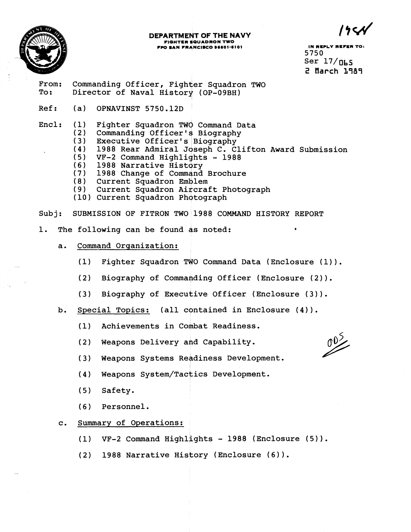

#### **DEPARTMENT OF THE NAVY FIGHTER SQUADRON TWO FPO SAN FRANCISCO 96601-6101 IN REPLY REFER TO:**

5750 Ser  $17/n<sub>h5</sub>$ 2 **March 2989** 

From: Commanding Officer, Fighter Squadron TWO<br>To: Director of Naval History (OP-09BH) Director of Naval History (OP-09BH)

Ref: (a) OPNAVINST 5750.12D

Encl: (1) Fighter Squadron TWO Command Data

- (2) Commanding Officer's Biography
- (3) Executive Officer's Biography
- (4) 1988 Rear Admiral Joseph C. Clifton Award Submission
- (5  $VF-2$  Command Highlights - 1988
- $(6)$ 1988 Narrative History
- (7) 1988 Change of Command Brochure
- (8) Current Squadron Em
- (9 Current Squadron Aircraft Photograph
- (10) Current Squadron Ph

Subj: SUBMISSION OF FITRON TWO 1988 COMMAND HISTORY REPORT

- 1. The following can be found as noted:
	- a. Command Organization:
		- (1) Fighter Squadron TWO Command Data (Enclosure (1)).
		- (2) Biography of Commahding Officer (Enclosure (2)).
		- (3) Biography of Executive Officer (Enclosure **(3)).**
	- b. Special Topics: (all contained in Enclosure (4)).
		- (1) Achievements in Combat Readiness.
		- (2) Weapons Delivery and Capability,

 $00^{0}$ 

- (3) Weapons Systems Readiness Development.
- (4) Weapons System/Tactics Development.
- (5) Safety.
- (6) Personnel.
- c. Summary of Operations:
	- (1) VF-2 Command Highlights 1988 (Enclosure  $(5)$ ).
	- (2) 1988 Narrative History (Enclosure (6)).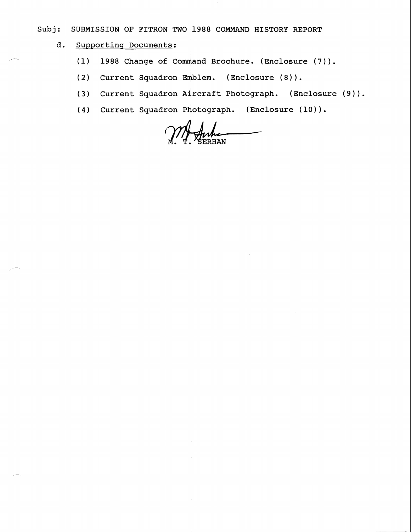## **Subj: SUBMISSION OF FITRON TWO 1988 COMMAND HISTORY REPORT**

# **d, Supportinq Documents:**

- **(1) 1988 Change of Command Brochure. (Enclosure (7)).**
- (2) Current Squadron Emblem. (Enclosure (8)).
- **(3) Current Squadron Ajrcraft Photograph, (Enclosure (9)** ).
- (4) Current Squadron Photograph. (Enclosure (10)).

RHAN: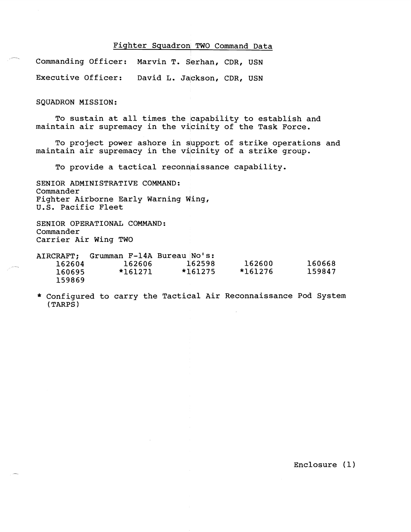## Fiqhter Squadron TWO Command Data

Commanding Officer: Marvin T. Serhan, CDR, USN Executive Officer: David L. Jackson, CDR, USN

SQUADRON MISSION:

To sustain at all times the capability to establish and maintain air supremacy in the vilcinity of the Task Force.

To project power ashore in support of strike operations and maintain air supremacy in the vicinity of a strike group.

To provide a tactical reconnaissance capability.

SENIOR ADMINISTRATIVE COMMAND: Commander Fighter Airborne Early Warning Wing, U.S. Pacific Fleet

SENIOR OPERATIONAL COMMAND: Commander Carrier Air Wing TWO

| AIRCRAFT: | Grumman F-14A Bureau No's: |         |         |        |
|-----------|----------------------------|---------|---------|--------|
| 162604    | 162606                     | 162598  | 162600  | 160668 |
| 160695    | $*161271$                  | *161275 | *161276 | 159847 |
| 159869    |                            |         |         |        |

\* Configured to carry the Tactical Air Reconnaissance Pod System ( TARPS )

Enclosure (1)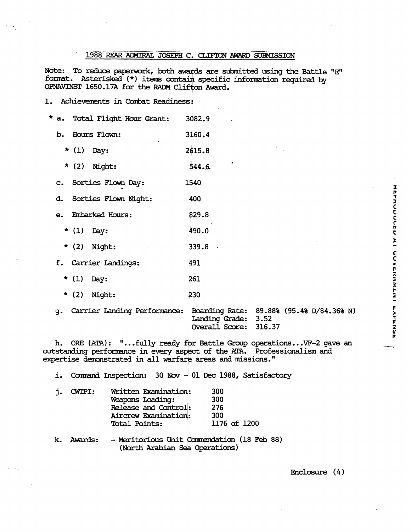## 1988 REAR ADMIRAL JOSEPH C. CLIFTON AWARD SUBMISSION

Note: To reduce paperwork, both awards are submitted using the Battle "E" format. Asterisked (\*) items contain specific information required by OPNAVINST 1650.17A for the RADM Clifton Award.

1. Achievements in Combat Readiness:

|  |                  | * a. Total Flight Hour Grant:                  | 3082.9         |
|--|------------------|------------------------------------------------|----------------|
|  |                  | b. Hours Flown:                                | 3160.4         |
|  |                  | * $(1)$ Day:                                   | 2615.8         |
|  |                  | $*(2)$ Night:                                  | 544.6          |
|  |                  | c. Sorties Flown Day:                          | 1540           |
|  |                  | d. Sorties Flown Night:                        | 400            |
|  |                  | e. Embarked Hours:                             | 829.8          |
|  | $\star$ (1) Day: |                                                | 490.0          |
|  |                  | $*(2)$ Night:                                  | 339.8          |
|  |                  | f. Carrier Landings:                           | 491            |
|  | $\star$ (1) Day: |                                                | 261            |
|  |                  | $*(2)$ Night:                                  | 230            |
|  |                  | g. Carrier Landing Performance: Boarding Rate: | Ianding Grade: |

g. Carrier Landing Performance: **Boarding** Rate: 89.88% (95.4% D/84.36% **N)**  3.52<br>316.37 Overall Score:

h. ORF: **(ATA)** : **'I.** . .fully ready fbr **Battle Group** operations.. .VF-2 gave an outstanding performance in every aspect of the ATA. Professionalism and expertise demonstrated in all warfare areas and missions."

i. Carmand **Inspection:** 30 *Nov* - 01 Dec 1988, Satisfactory

| j. | CWTPI: |               | Written Examination: | 300          |  |
|----|--------|---------------|----------------------|--------------|--|
|    |        |               | Weapons Loading:     | 300          |  |
|    |        |               | Release and Control: | 276          |  |
|    |        |               | Aircrew Examination: | 300          |  |
|    |        | Total Points: |                      | 1176 of 1200 |  |
|    |        |               |                      |              |  |

k. Awards: - Meritorious Unit Commendation (18 Feb 88) (Narth **Arabian** *S&* Operations)

Enclosure  $(4)$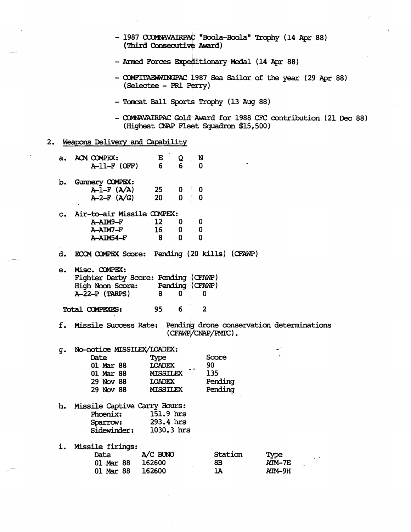- 1987 COOMNAVAIRPAC "Boola-Boola" Trophy (14 Apr 88) (Third GmseCkid *Award)*
- Armea **Forces Expeditionary Medal (14 Apr 88)**
- **COMFITAEWWINGPAC** 1987 Sea Sailor of the year (29 Apr 88) **(Selectee** - **PRl Pn,rry)**
- **Tomcat Ball Sports Trophy (13 Aug 88)**
- ~UAIRFAC **Gold Award for 1988** CFC **contribution (21 Dec 88) (Highest CNAP Flqt Squadron \$15,500**

#### **2. Weapons Delivery and Capability**

| a. | ACM COMPEX:                | Е   |             | N        |  |
|----|----------------------------|-----|-------------|----------|--|
|    | $A-11-F$ (OFF)             | 6   | 6           | 0        |  |
| b. | Gunnery COMPEX:            |     |             |          |  |
|    | $A-I-F (A/A)$              | -25 | $\mathbf 0$ | - 0      |  |
|    | $A-2-F (A/G)$              | 20  |             | $\Omega$ |  |
| c. | Air-to-air Missile COMPEX: |     |             |          |  |
|    | <b>A-AIM9-F</b>            | 12  | 0           | -0       |  |
|    | A-AIM7-F                   | 16  | 0           | 0        |  |
|    | A-AIM54-F                  | 8   |             | 0        |  |
|    |                            |     |             |          |  |

- **d. OCMPM Score: Pending (?O kills) (CFAWP)**
- **e.** Misc. **COMPEX: Fighter Derby Score: Pending (CFAWP) High Noon Score: Pelding (CFAWP) A-22-P** (TARPSI **8 O 0**
- Total COMPEXES: 6  $\boldsymbol{2}$ 95
- f. Missile Success Rate: Pending drone conservation determinations (CFAWP/CNAP/PMIC).
- **g.** No-notice MISSILEX/LOADEX:

| Date      | Type                            | Score   |
|-----------|---------------------------------|---------|
| 01 Mar 88 | <b>LOADEX</b>                   | 90      |
| 01 Mar 88 | $\uparrow$ .<br><b>MISSILEX</b> | 135     |
| 29 Nov 88 | <b>LOADEX</b>                   | Pending |
| 29 Nov 88 | <b>MISSILEX</b>                 | Pending |

| h. | Missile Captive Carry Hours: |            |
|----|------------------------------|------------|
|    | Phoenix:                     | 151.9 hrs  |
|    | Sparrow:                     | 293.4 hrs  |
|    | Sidewinder:                  | 1030.3 hrs |

**i. Missile firings:** 

| Date      | A/C BUNO | Station | Type   |
|-----------|----------|---------|--------|
| 01 Mar 88 | 162600   | 8Β      | ATM-7E |
| 01 Mar 88 | 162600   | lA      | ATM-9H |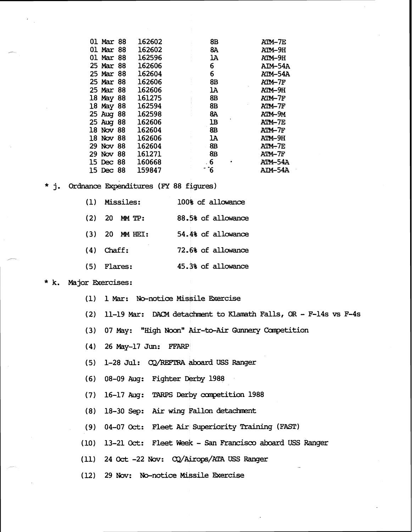|  | 162602                                                                                                                                                                                                              | 8B        | ATM-7E         |
|--|---------------------------------------------------------------------------------------------------------------------------------------------------------------------------------------------------------------------|-----------|----------------|
|  | 162602                                                                                                                                                                                                              | <b>8A</b> | ATM-9H         |
|  | 162596                                                                                                                                                                                                              | lA        | ATM-9H         |
|  | 162606                                                                                                                                                                                                              | 6         | <b>AIM-54A</b> |
|  | 162604                                                                                                                                                                                                              | 6         | <b>ATM-54A</b> |
|  | 162606                                                                                                                                                                                                              | 8B        | <b>ATM-7F</b>  |
|  | 162606                                                                                                                                                                                                              | lA        | ATM-9H         |
|  | 161275                                                                                                                                                                                                              | 8B        | <b>ATM-7F</b>  |
|  | 162594                                                                                                                                                                                                              | 8B        | ATM-7F         |
|  | 162598                                                                                                                                                                                                              | <b>8A</b> | ATM-9M         |
|  | 162606                                                                                                                                                                                                              | lв        | ATM-7E         |
|  | 162604                                                                                                                                                                                                              | 8B        | ATM-7F         |
|  | 162606                                                                                                                                                                                                              | 1A        | ATM-9H         |
|  | 162604                                                                                                                                                                                                              | 8B        | ATM-7E         |
|  | 161271                                                                                                                                                                                                              | 8B        | ATM-7F         |
|  | 160668                                                                                                                                                                                                              | .6        | <b>ATM-54A</b> |
|  | 159847                                                                                                                                                                                                              | ΄6        | <b>AIM-54A</b> |
|  | 01 Mar 88<br>01 Mar 88<br>01 Mar 88<br>25 Mar 88<br>25 Mar 88<br>25 Mar 88<br>25 Mar 88<br>18 May 88<br>18 May 88<br>25 Aug 88<br>25 Aug 88<br>18 Nov 88<br>18 Nov 88<br>Nov 88<br>Nov 88<br>15 Dec 88<br>15 Dec 88 |           |                |

\* **j. Ordnance** Expenditures **(FY** 88 figures)

| (1) | <b>Missiles:</b> | 100% of allowance  |
|-----|------------------|--------------------|
| (2) | -20<br>MM TP:    | 88.5% of allowance |
| (3) | 20 MM HEI:       | 54.4% of allowance |
| (4) | Chaff:           | 72.6% of allowance |
| (5) | Flares:          | 45.3% of allowance |

## \* **k. Major Ekercises:**

- (1) 1 Mar: No-notice Missile Exercise
- (2) 11-19 *Mar:* DXM detachnmt to Klamath Falls, **OR**  F-14s vs F-4s
- (3) 07 May: "High Noon" Air-to-Air Gunnery Competition
- (4) 26 May-17 Jun: FFARP
- (5) 1-28 Jul:  $\alpha$ /REFTRA aboard USS Ranger
- (6) 08-09 Aug: Fighter **&by** 1988
- (7) 16-17 Aug: TARPS Derby competition 1988
- (8) 18-30 Sep: Air wing Fallon detachment
- (9) 04-07 Oct: Fleet *Air1* Superiority Training (FAST)
- (10) 13-21 *Oct:* Fleet Week **San** Francisco **aboard USS Ranger**
- (11) 24 Oct -22 Nov:  $OQ/Ai$ rops/ATA USS Ranger
- (12) 29 Nov: No-notice Missile **Exercise**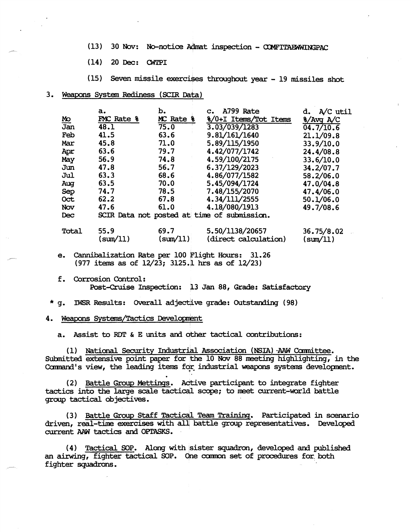- (13) 30 Nov: No-notice Admat inspection COMFITAEWWINGPAC
- $(14)$ 20 Dec: CWIPI
- **(15) Seven missile exercises throughout year 19 missiles shot**

|           | <del>"apar opera industries" (bein baca</del> |           |                                             |                       |
|-----------|-----------------------------------------------|-----------|---------------------------------------------|-----------------------|
|           | a.                                            | b.        | A799 Rate<br>$\mathbf{C}$ .                 | d. $A/C$ util         |
| <u>Mo</u> | FMC Rate %                                    | MC Rate % | 8/0+I Items/Tot Items                       | $\frac{1}{2}$ Avq A/C |
| Jan       | 48.1                                          | 75.0      | 3.03/039/1283                               | 04.7/10.6             |
| Feb       | 41.5                                          | 63.6      | 9.81/161/1640                               | 21.1/09.8             |
| Mar       | 45.8                                          | 71.0      | 5.89/115/1950                               | 33.9/10.0             |
| Apr       | 63.6                                          | 79.7      | 4.42/077/1742                               | 24.4/08.8             |
| May       | 56.9                                          | 74.8      | 4.59/100/2175                               | 33.6/10.0             |
| Jun       | 47.8                                          | 56.7      | 6.37/129/2023                               | 34.2/07.7             |
| Jul       | 63.3                                          | 68.6      | 4.86/077/1582                               | 58.2/06.0             |
| Aug       | 63.5                                          | 70.0      | 5.45/094/1724                               | 47.0/04.8             |
| Sep       | 74.7                                          | 78.5      | 7.48/155/2070                               | 47.4/06.0             |
| Oct       | 62.2                                          | 67.8      | 4.34/111/2555                               | 50.1/06.0             |
| Nov       | 47.6                                          | 61.0      | 4.18/080/1913                               | 49.7/08.6             |
| Dec       |                                               |           | SCIR Data not posted at time of submission. |                       |
| Total     | 55.9                                          | 69.7      | 5.50/1138/20657                             | 36.75/8.02            |

 $(\text{sum}/11)$   $(\text{sum}/11)$   $(\text{direct calculation})$   $(\text{sum}/11)$ 

e. Cannibalization Rate per 100 Flight Hours: 31.26

**(977 items as of 12/23; 3125. hrs as of 12/23)** 

**f. Corrosion Control: Post-Cruise Inspection: 13 Jan 88, Grade: Satisfactory** 

\* **g.** IWSR **Results: Overall ad jeve grade: Outstanding** ( **98)** 

### 4. Weapons Systems/Tactics Development

**a. Assist to RDT** & **E** units **and other** tactical **contributions:** 

(1) <u>National Security Industrial Association (NSIA) -AAW Committee.</u> (1) <u>National Security Industrial Association (NSIA) AAW Committee.</u><br>Submitted extensive point paper for the 10 Nov 88 meeting highlighting, in the Command's view, the leading items for industrial weapons systems development.

**(2) Battle Group Mettinqs.** Adtive **participant to integrate fighter tactics into the large scale tactical scope; to** meet **current-wnrld battle group tactical objectives.** 

**(3) Battle Group Staff Tactid Team** Training. **Participated in scenario driven, real-time exercises** with **all, battle group** - - **representatives.** - **Developed** - **current** AAW **tactics and** OFTASKS.

**(4) Tactical SOP. Along** with **sister** squadron, **developed and published**  an airwing, fighter tactical SOP. One common set of procedures for both - **fighter** *squadrons.*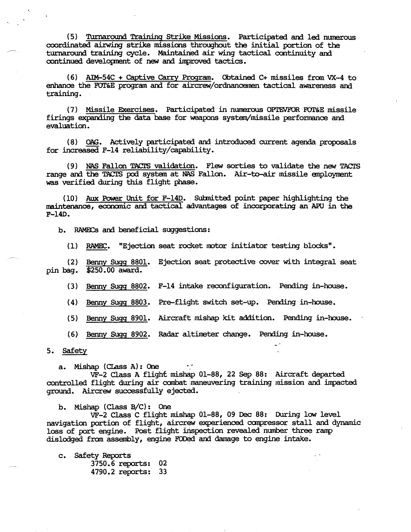( 5) Turnaround Training Strike Missions. Participated and led numerous coordinated airwing strike missions throughout the initial portion of the turnaround training cycle. Maintained air wing tactical continuity and continued development of new and improved tactics.

(6) -54C + Captive Carry **\*am.** Obtained **C+** missiles from VX-4 to enhance the FOT&E program and for aircrew/ordnancemen tactical awareness and training.

(7) Missile Exercises. in numerous **OPTEVFOR** EVT&E missile firings expanding the data base for weapons system/missile performance and evaluation.

(8) OAG. Actively participated and introduced current agenda proposals for increased F-14 reliability/capability.

(9) NAS Fallon TACTS validation. Flew sorties to validate the new TACTS range and the TACTS pod system at NAS Fallon. Air-to-air missile employment was verified during this flight phase.

(10) Aux Power Unit for F-14D. Submitted point paper highlighting the maintenance, economic and tactical advantages of incorporating an APU in the F-14D.

b. RAMECs and beneficial suggestions:

(1) RAMEC. "Ejection seat rocket motor initiator testing blocks".

Benny Sugg 8801. Ejection seat protective cover with integral seat  $(2)$ pin bag. \$250.00 award.

(3) Benny Sugg 8802. F-14 intake reconfiguration. Pending in-house.

(4) **Benny** Suqq 8803. re-flidht switch set-up. Pending in-house.

(5) Benny Sugg 8901. Aircraft mishap kit addition. Pending in-house.

(6) Benny Sugq 8902. Radar **altimeter** change. Pending in-house.

. Safety **Safety** and the set of the set of the set of the set of the set of the set of the set of the set of the set of the set of the set of the set of the set of the set of the set of the set of the set of the set of th

a. Mishap (CLass A): One

VF-2 Class A flight mishap 01-88, 22 Sep 88: Aircraft departed cantrolled flight during air canbat maneuvering training mission and impacted ground. Aircrew successfully ejected.

b. Mishap (Class B/C): *One* 

VF-2 Class C flight mishap 01-88, 09 Dec 88: During low level navigation portion of flight, aircrew experienced canpressor stall and dynamic loss of **port** engine. Post flight inspection revealed number three ramp dislodged from assembly, engine **FODed** and damage to engine intake.

c. Safety Reports 3750.6 reports: 02 4790.2 reports: 33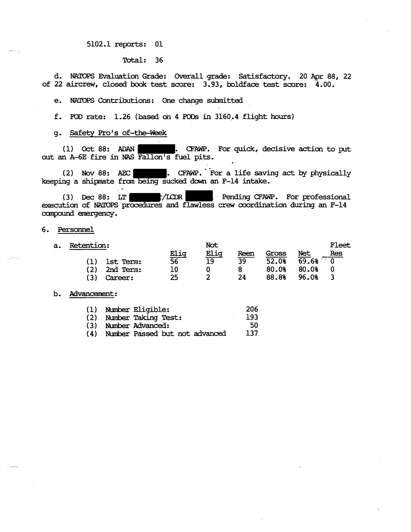#### 5102.1 reports: 01

#### Total: 36

d. **NATOPS** Evaluation Grade: Overall grade: Satisfactory. 20 Apr 88, 22 of 22 **aircrew,** closed **boak** test score: 3.93, boldface test score: 4.00.

e. NATOPS Contributions: One change submitted

f. FOD rate: 1.26 (based on 4 FODs in 3160.4 flight hours)

g. Safety Pro's of-the-Week

(1) Oct 88: ADAN **.** *TAWP.* For quick, decisive action to put out an A-6E fire in **NAS** Fallon's fuel pits,

(2) Nov 88: AEC . CFAWP. For a life saving act by physically keeping a shipmate from being sucked down an F-14 intake.

(3) Dec 88: LT | c/LCDR Pending CFAWP. For professional execution of NATOPS procedures and flawless crew coordination during an F-14 compound emergency.

#### 6. Personnel

| a. |  | Retention |  |  |
|----|--|-----------|--|--|
|----|--|-----------|--|--|

| Retention:<br>a. |           |           | Not         |      |       |       | Fleet |      |
|------------------|-----------|-----------|-------------|------|-------|-------|-------|------|
|                  |           |           | Elia        | Reen | Gross | Net   | Res   |      |
| (1)              |           | 56        | 19.         | 39.  | 52.0% | 69.68 |       |      |
| (2)              | 2nd Term: | 10        |             |      | 80.0% | 80.0% |       |      |
| (3)              | Career:   | 25        |             | 24   | 88.8% | 96.0% |       |      |
|                  |           | lst Term: | <u>Elig</u> |      |       |       |       | ்″ ∩ |

#### b. Advancement:

| (1) | Number Eligible:               | -206 |
|-----|--------------------------------|------|
| (2) | Number Taking Test:            | 193  |
| (3) | Number Advanced:               | 50   |
| (4) | Number Passed but not advanced | 137  |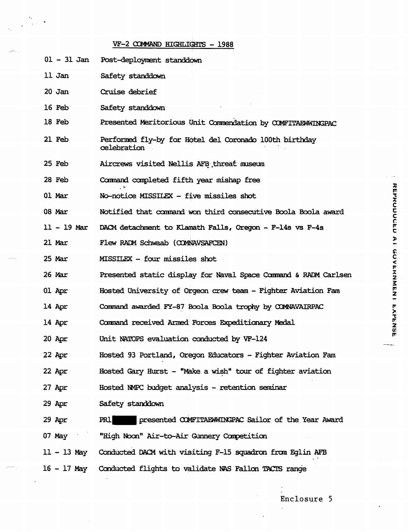## VF-2 COMMAND HIGHLIGHTS - 1988

- <sup>01</sup> 31 Jan Post-deployment standdown
- 11 **Jan**  Safety standdawn
- 20 **Jan Cruise** debrief

-

- 16 Feb **Safety** staddown
- 18 Feb Presented Meritorious Unit Commendation by COMFITAEMWINGPAC
- 21 Feb Performed fly-by for Hotel del Coronado 100th birthday celebration
- 25 Feb *AFrcrews* visited Nelli\$ZE@\_threat **museum**
- 28 **Feb**  Command completed fifth year mishap free
- 01 Mar No-notice MISSILEX - five missiles shot
- 08 **Mar**  Notified **that** cnrmard qmn third consecutive **Boola Boola** award
- 11 <sup>19</sup>*Mar*  **WCM detachmmt to** Klamath **Falls, Oregon** - **F-14s vs F-4s**
- 21 Mar Flew RADM Schwaab (COMNAVSAFCEN)
- 2s Mar **MISSILEX** - four missiles shot
- 26 Mar Presented static display for Naval Space Command & RADM Carlsen
- 01 Apr Hosted University of Otgeon **crew** team - Fighter Aviation **Fam**
- 14 **Apr ComMIld awarded** FY-87 \$bola **Boola trophy by** CCNNAVAIRJ?AC
- 14 **Apr**  Command received Armed Forces Expeditionary Medal
- 20 **APr**  Unit **WIQPS** evaluation **conducted by** W-124
- 22 **Apr**  Hosted 93 Portland, Oregon Educators - Fighter Aviation Fam
- 22 **Apr Hosted Gary Hurst - "Make a wish" tour of fighter aviation**
- 27 **Apr**  Hosted NMPC budget analysis - retention seminar
- 29 **Apr**  Safety standdown
- 29 **Apr PR1 presented COMFITAEWWINGPAC Sailor of the Year Award**
- 07 May "High Noon" Air-to-Air Gunnery Competition
- 11 **13** May Conducted DACM with vipiting F-15 squadron frcm **Eglin AFB**
- $16 17$  May Conducted flights to validate NAS Fallon TACTS range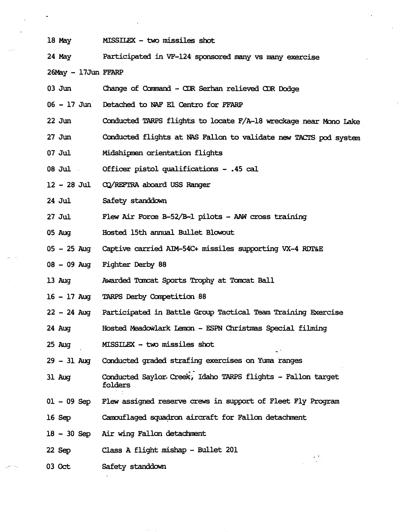18 May MISSILEX - two missiles shot

24 May Participated in VF-124 sponsored many **vs** many exercise

26my - UJU~ **FFARP** 

03 Jun Change of Cmmnd - **Ql Serhan** relieved CDR Dodge

06 - 17 Jun **Detached to NAF El Centro for FFARP** 

- 22 Jun Conducted TARPS flights to locate  $F/A-18$  wreckage near Mono Lake
- 27 Jun Conducted flights at NAS Fallon to validate new TACTS pod system
- 07 Jul Midshipnen orientation flights
- 08 Jul Officer pistol qualifications .45 cal
- <sup>12</sup> 28 Jul **WREFTRA** aboard USS **Ranger**

24 Jul Safety standdown

- 27 Jul Flew Air Force B-52/B-(1 pilots **AAW** cross training
- 05 **Aug Hosted 15th annual Bullet Blowout**
- $05 25$  Aug Captive carried AIM-54C+ missiles supporting VX-4 RDT&E
- <sup>08</sup> <sup>09</sup>**Rug**  Fighter **Derby** 88
- 13 Aug Awarded Tomcat Sports Trophy at Tomcat Ball
- <sup>16</sup> <sup>17</sup>**Aug TARPS Derby Competition 88**
- $22 24$  Aug Participated in Battle Group Tactical Team Training Exercise

-

- 24 **Aug**  Hosted **WWlark krqn** - ESPN Christms Special filming
- 25 Aug MISSILEX - two missiles shot
- <sup>29</sup> <sup>31</sup>**Aug**  Cmducted **graded** strafing exercises on **Yuma** ranges
- 31 Aug Conducted Saylor. Creek, Idaho TARPS flights Fallon target folders
- <sup>01</sup> 09 Sep Flew **assigned** reserve crews in support of Fleet Fly **Program**
- 16 Sep Camouflaged squadron aircraft for Fallon detachment
- 18 30 Sep Air wing Fallon detachment
- 22 Sep **Class** A flight mishap Bullet 201
- 03 Oct Safety standdown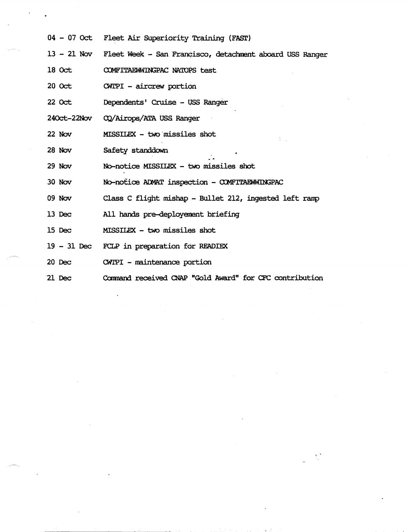- **<sup>04</sup> 07** Oct **Fleet Air Superiority Training (FAST)**
- **<sup>13</sup> <sup>21</sup>***Nov*  Fleet Week - San Francisco, detachment aboard USS Ranger
- **18** Oct COMFITAEWWINGPAC NATOPS test
- **<sup>20</sup>**kt **-1** - aircrew **portion**
- **22** Oct Dependents' *Cruise* - **US mger**
- **24oct-22Nov WA~~O~~/ATA uss mger**
- **22** *Nov*  **MISSILEX** - two **'missiles shot**
- **28 Nov Safety staddown**
- **29** *Nw*  **No-notice MISSILEX** - two **missiles shat**
- **30 Nw**  No-notice ADMAT inspection - COMFITAEWWINGPAC
- **09 Nov Class C flight mishap** - **Bullet 212, ingested left ramp**

- -

- **13 Dec**  All hands pre-deployement briefing
- **15 Dec MISS-** - two **missiles shot**
- **<sup>19</sup> 31 Dec FCLP in preparation for READIEX**
- **20 Dec**  CWmI - maintenance portion
- **21 Dec**  Cunnand **received** CNAP **"Gold hard" for** CFC **contribution**